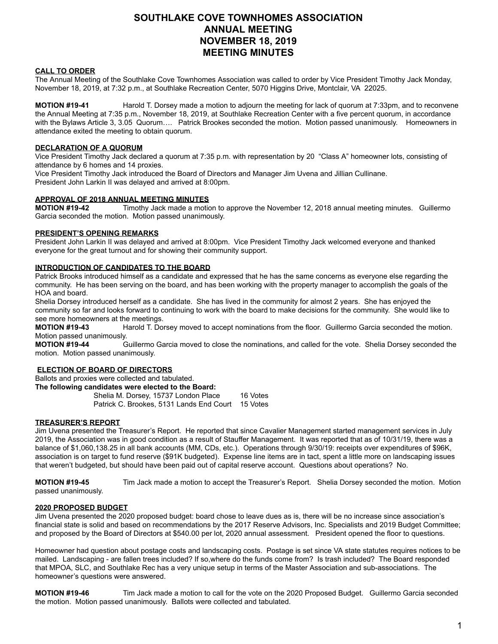# **SOUTHLAKE COVE TOWNHOMES ASSOCIATION ANNUAL MEETING NOVEMBER 18, 2019 MEETING MINUTES**

# **CALL TO ORDER**

The Annual Meeting of the Southlake Cove Townhomes Association was called to order by Vice President Timothy Jack Monday, November 18, 2019, at 7:32 p.m., at Southlake Recreation Center, 5070 Higgins Drive, Montclair, VA 22025.

**MOTION #19-41** Harold T. Dorsey made a motion to adjourn the meeting for lack of quorum at 7:33pm, and to reconvene the Annual Meeting at 7:35 p.m., November 18, 2019, at Southlake Recreation Center with a five percent quorum, in accordance with the Bylaws Article 3, 3.05 Quorum…. Patrick Brookes seconded the motion. Motion passed unanimously. Homeowners in attendance exited the meeting to obtain quorum.

## **DECLARATION OF A QUORUM**

Vice President Timothy Jack declared a quorum at 7:35 p.m. with representation by 20 "Class A" homeowner lots, consisting of attendance by 6 homes and 14 proxies.

Vice President Timothy Jack introduced the Board of Directors and Manager Jim Uvena and Jillian Cullinane.

President John Larkin II was delayed and arrived at 8:00pm.

#### **APPROVAL OF 2018 ANNUAL MEETING MINUTES**

**MOTION #19-42** Timothy Jack made a motion to approve the November 12, 2018 annual meeting minutes. Guillermo Garcia seconded the motion. Motion passed unanimously.

## **PRESIDENT'S OPENING REMARKS**

President John Larkin II was delayed and arrived at 8:00pm. Vice President Timothy Jack welcomed everyone and thanked everyone for the great turnout and for showing their community support.

#### **INTRODUCTION OF CANDIDATES TO THE BOARD**

Patrick Brooks introduced himself as a candidate and expressed that he has the same concerns as everyone else regarding the community. He has been serving on the board, and has been working with the property manager to accomplish the goals of the HOA and board.

Shelia Dorsey introduced herself as a candidate. She has lived in the community for almost 2 years. She has enjoyed the community so far and looks forward to continuing to work with the board to make decisions for the community. She would like to see more homeowners at the meetings.<br>**MOTION #19-43** Harold T. Do

Harold T. Dorsey moved to accept nominations from the floor. Guillermo Garcia seconded the motion. Motion passed unanimously.<br>**MOTION #19-44** 

Guillermo Garcia moved to close the nominations, and called for the vote. Shelia Dorsey seconded the motion. Motion passed unanimously.

#### **ELECTION OF BOARD OF DIRECTORS**

Ballots and proxies were collected and tabulated.

**The following candidates were elected to the Board:**  Shelia M. Dorsey, 15737 London Place 16 Votes Patrick C. Brookes, 5131 Lands End Court 15 Votes

# **TREASURER'S REPORT**

Jim Uvena presented the Treasurer's Report. He reported that since Cavalier Management started management services in July 2019, the Association was in good condition as a result of Stauffer Management. It was reported that as of 10/31/19, there was a balance of \$1,060,138.25 in all bank accounts (MM, CDs, etc.). Operations through 9/30/19: receipts over expenditures of \$96K, association is on target to fund reserve (\$91K budgeted). Expense line items are in tact, spent a little more on landscaping issues that weren't budgeted, but should have been paid out of capital reserve account. Questions about operations? No.

**MOTION #19-45** Tim Jack made a motion to accept the Treasurer's Report. Shelia Dorsey seconded the motion. Motion passed unanimously.

#### **2020 PROPOSED BUDGET**

Jim Uvena presented the 2020 proposed budget: board chose to leave dues as is, there will be no increase since association's financial state is solid and based on recommendations by the 2017 Reserve Advisors, Inc. Specialists and 2019 Budget Committee; and proposed by the Board of Directors at \$540.00 per lot, 2020 annual assessment. President opened the floor to questions.

Homeowner had question about postage costs and landscaping costs. Postage is set since VA state statutes requires notices to be mailed. Landscaping - are fallen trees included? If so,where do the funds come from? Is trash included? The Board responded that MPOA, SLC, and Southlake Rec has a very unique setup in terms of the Master Association and sub-associations. The homeowner's questions were answered.

**MOTION #19-46** Tim Jack made a motion to call for the vote on the 2020 Proposed Budget. Guillermo Garcia seconded the motion. Motion passed unanimously. Ballots were collected and tabulated.